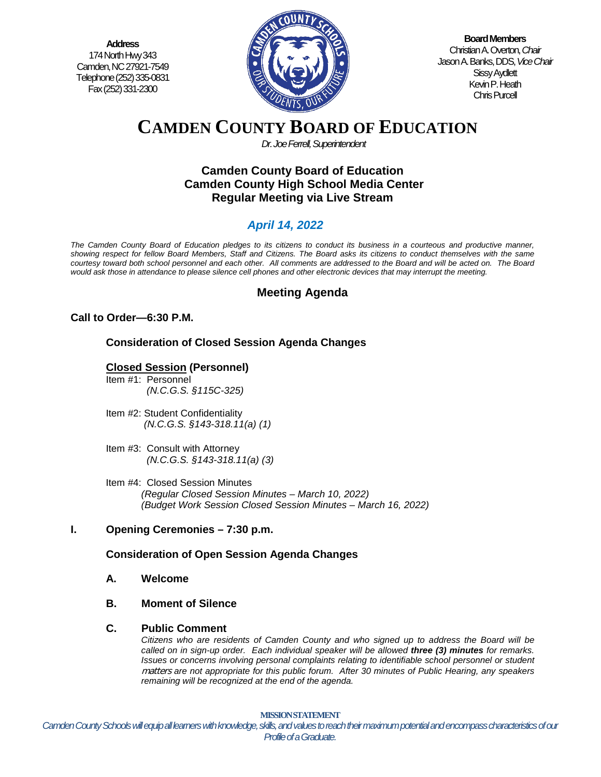**Address** 174 North Hwy 343 Camden, NC 27921-7549 Telephone (252) 335-0831 Fax (252) 331-2300



**Board Members** Christian A. Overton, *Chair* Jason A. Banks, DDS,*Vice Chair* Sissy Aydlett Kevin P. Heath Chris Purcell

# **CAMDEN COUNTY BOARD OF EDUCATION**

*Dr. Joe Ferrell, Superintendent*

## **Camden County Board of Education Camden County High School Media Center Regular Meeting via Live Stream**

## *April 14, 2022*

*The Camden County Board of Education pledges to its citizens to conduct its business in a courteous and productive manner, showing respect for fellow Board Members, Staff and Citizens. The Board asks its citizens to conduct themselves with the same courtesy toward both school personnel and each other. All comments are addressed to the Board and will be acted on. The Board would ask those in attendance to please silence cell phones and other electronic devices that may interrupt the meeting.*

## **Meeting Agenda**

## **Call to Order—6:30 P.M.**

**Consideration of Closed Session Agenda Changes**

## **Closed Session (Personnel)**

- Item #1: Personnel *(N.C.G.S. §115C-325)*
- Item #2: Student Confidentiality *(N.C.G.S. §143-318.11(a) (1)*
- Item #3: Consult with Attorney  *(N.C.G.S. §143-318.11(a) (3)*
- Item #4: Closed Session Minutes *(Regular Closed Session Minutes – March 10, 2022) (Budget Work Session Closed Session Minutes – March 16, 2022)*

## **I. Opening Ceremonies – 7:30 p.m.**

## **Consideration of Open Session Agenda Changes**

- **A. Welcome**
- **B. Moment of Silence**

#### **C. Public Comment**

*Citizens who are residents of Camden County and who signed up to address the Board will be called on in sign-up order. Each individual speaker will be allowed three (3) minutes for remarks. Issues or concerns involving personal complaints relating to identifiable school personnel or student* matters *are not appropriate for this public forum. After 30 minutes of Public Hearing, any speakers remaining will be recognized at the end of the agenda.*

**D. Pledge of Allegiance** *Camden County Schools will equip all learners with knowledge, skills, and values to reach their maximum potential and encompass characteristics of our*  **MISSION STATEMENT** *Profile of a Graduate.*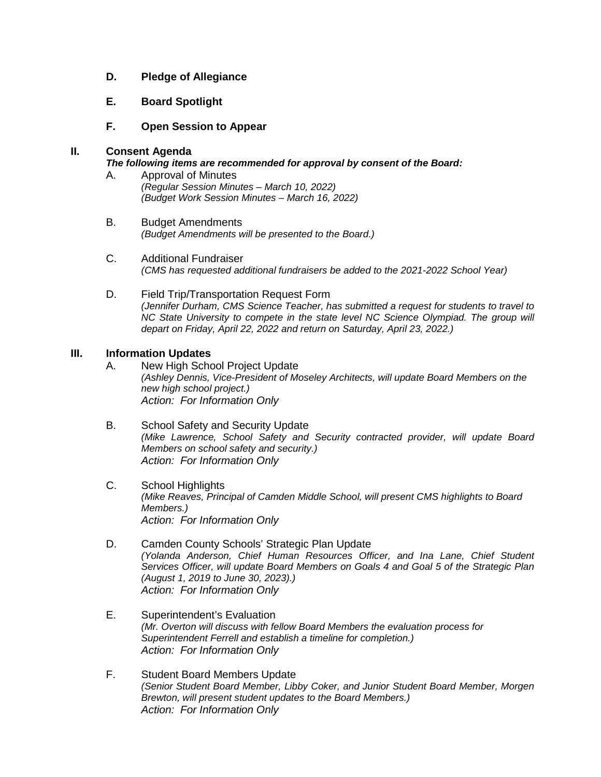- **D. Pledge of Allegiance**
- **E. Board Spotlight**
- **F. Open Session to Appear**

#### **II. Consent Agenda**

#### *The following items are recommended for approval by consent of the Board:*

- A. Approval of Minutes *(Regular Session Minutes – March 10, 2022) (Budget Work Session Minutes – March 16, 2022)*
- B. Budget Amendments *(Budget Amendments will be presented to the Board.)*
- C. Additional Fundraiser *(CMS has requested additional fundraisers be added to the 2021-2022 School Year)*
- D. Field Trip/Transportation Request Form *(Jennifer Durham, CMS Science Teacher, has submitted a request for students to travel to NC State University to compete in the state level NC Science Olympiad. The group will depart on Friday, April 22, 2022 and return on Saturday, April 23, 2022.)*

#### **III. Information Updates**

- A. New High School Project Update *(Ashley Dennis, Vice-President of Moseley Architects, will update Board Members on the new high school project.) Action: For Information Only*
- B. School Safety and Security Update *(Mike Lawrence, School Safety and Security contracted provider, will update Board Members on school safety and security.) Action: For Information Only*
- C. School Highlights *(Mike Reaves, Principal of Camden Middle School, will present CMS highlights to Board Members.) Action: For Information Only*
- D. Camden County Schools' Strategic Plan Update *(Yolanda Anderson, Chief Human Resources Officer, and Ina Lane, Chief Student Services Officer, will update Board Members on Goals 4 and Goal 5 of the Strategic Plan (August 1, 2019 to June 30, 2023).) Action: For Information Only*
- E. Superintendent's Evaluation *(Mr. Overton will discuss with fellow Board Members the evaluation process for Superintendent Ferrell and establish a timeline for completion.) Action: For Information Only*
- F. Student Board Members Update *(Senior Student Board Member, Libby Coker, and Junior Student Board Member, Morgen Brewton, will present student updates to the Board Members.) Action: For Information Only*